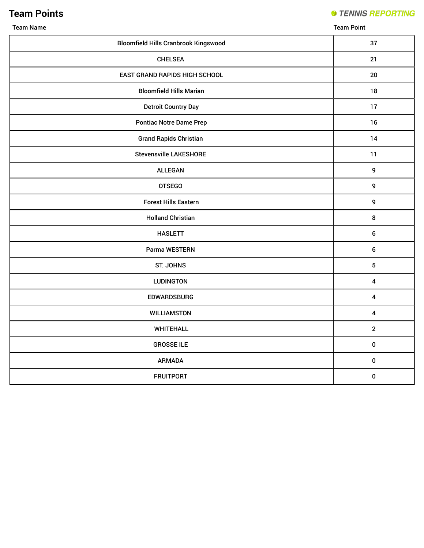## **Team Points**

**STENNIS REPORTING** 

| <b>Bloomfield Hills Cranbrook Kingswood</b> | 37                      |
|---------------------------------------------|-------------------------|
| <b>CHELSEA</b>                              | 21                      |
| EAST GRAND RAPIDS HIGH SCHOOL               | 20                      |
| <b>Bloomfield Hills Marian</b>              | 18                      |
| <b>Detroit Country Day</b>                  | 17                      |
| <b>Pontiac Notre Dame Prep</b>              | 16                      |
| <b>Grand Rapids Christian</b>               | 14                      |
| <b>Stevensville LAKESHORE</b>               | 11                      |
| <b>ALLEGAN</b>                              | $\boldsymbol{9}$        |
| <b>OTSEGO</b>                               | $\boldsymbol{9}$        |
| <b>Forest Hills Eastern</b>                 | $\boldsymbol{9}$        |
| <b>Holland Christian</b>                    | $\bf 8$                 |
| <b>HASLETT</b>                              | $\boldsymbol{6}$        |
| Parma WESTERN                               | 6                       |
| <b>ST. JOHNS</b>                            | 5                       |
| <b>LUDINGTON</b>                            | 4                       |
| <b>EDWARDSBURG</b>                          | $\overline{\mathbf{4}}$ |
| <b>WILLIAMSTON</b>                          | $\overline{\mathbf{4}}$ |
| <b>WHITEHALL</b>                            | $\overline{2}$          |
| <b>GROSSE ILE</b>                           | $\pmb{0}$               |
| <b>ARMADA</b>                               | $\pmb{0}$               |
| <b>FRUITPORT</b>                            | $\pmb{0}$               |

Team Name Team Point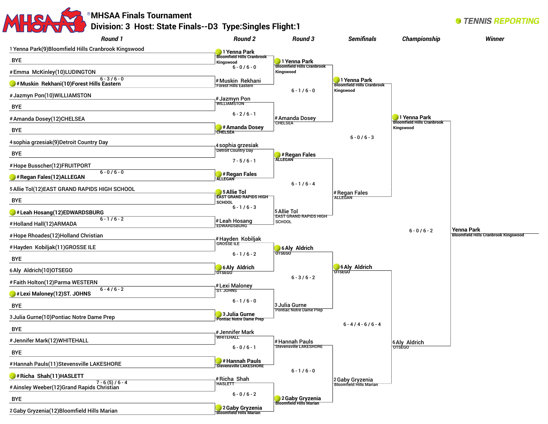| <b>Round 1</b>                                                  | Division: 3 Host: State Finals--D3 Type: Singles Flight: 1<br><b>Round 2</b> | Round 3                                        | <b>Semifinals</b>                                 | Championship                                      | <b>Winner</b>                                             |
|-----------------------------------------------------------------|------------------------------------------------------------------------------|------------------------------------------------|---------------------------------------------------|---------------------------------------------------|-----------------------------------------------------------|
| 1 Yenna Park(9)Bloomfield Hills Cranbrook Kingswood             |                                                                              |                                                |                                                   |                                                   |                                                           |
| <b>BYE</b>                                                      | 1 Yenna Park<br><b>Bloomfield Hills Cranbrook</b><br>Kingswood               | 1 Yenna Park                                   |                                                   |                                                   |                                                           |
| #Emma McKinley(10)LUDINGTON                                     | $6 - 0/6 - 0$                                                                | <b>Bloomfield Hills Cranbrook</b><br>Kingswood |                                                   |                                                   |                                                           |
| $6 - 3 / 6 - 0$<br>#Muskin Rekhani(10)Forest Hills Eastern      | #Muskin Rekhani<br><b>Forest Hills Eastern</b>                               |                                                | 1 Yenna Park<br><b>Bloomfield Hills Cranbrook</b> |                                                   |                                                           |
| #Jazmyn Pon(10)WILLIAMSTON                                      | #Jazmyn Pon                                                                  | $6 - 1/6 - 0$                                  | Kingswood                                         |                                                   |                                                           |
| <b>BYE</b>                                                      | <b>WILLIAMSTON</b>                                                           |                                                |                                                   |                                                   |                                                           |
| # Amanda Dosey(12)CHELSEA                                       | $6 - 2/6 - 1$                                                                | #Amanda Dosey                                  |                                                   | 1 Yenna Park<br><b>Bloomfield Hills Cranbrook</b> |                                                           |
| <b>BYE</b>                                                      | # Amanda Dosey<br><b>CHELSEA</b>                                             | <b>CHELSEA</b>                                 |                                                   | Kingswood                                         |                                                           |
| 4 sophia grzesiak(9) Detroit Country Day                        | 4 sophia grzesiak                                                            |                                                | $6 - 0/6 - 3$                                     |                                                   |                                                           |
| <b>BYE</b>                                                      | Detroit Country Day                                                          | $\blacktriangleright$ # Regan Fales            |                                                   |                                                   |                                                           |
| #Hope Busscher(12)FRUITPORT                                     | $7 - 5/6 - 1$                                                                | <b>ALLEGAN</b>                                 |                                                   |                                                   |                                                           |
| $6 - 0/6 - 0$<br># Regan Fales (12) ALLEGAN                     | # Regan Fales<br><b>ALLEGAN</b>                                              |                                                |                                                   |                                                   |                                                           |
| 5 Allie Tol(12) EAST GRAND RAPIDS HIGH SCHOOL                   | 5 Allie Tol                                                                  | $6 - 1/6 - 4$                                  |                                                   |                                                   |                                                           |
| <b>BYE</b>                                                      | <b>EAST GRAND RAPIDS HIGH</b><br><b>SCHOOL</b>                               |                                                | # Regan Fales                                     |                                                   |                                                           |
| #Leah Hosang(12)EDWARDSBURG                                     | $6 - 1/6 - 3$                                                                | 5 Allie Tol                                    |                                                   |                                                   |                                                           |
| $6 - 1/6 - 2$<br>#Holland Hall(12)ARMADA                        | #Leah Hosang                                                                 | <b>EAST GRAND RAPIDS HIGH</b><br><b>SCHOOL</b> |                                                   |                                                   |                                                           |
| #Hope Rhoades(12)Holland Christian                              |                                                                              |                                                |                                                   | $6 - 0/6 - 2$                                     | Yenna Park<br><b>Bloomfield Hills Cranbrook Kingswood</b> |
| #Hayden Kobiljak(11)GROSSE ILE                                  | #Hayden Kobiljak<br><b>GROSSETLE</b>                                         | 6 Aly Aldrich                                  |                                                   |                                                   |                                                           |
| <b>BYE</b>                                                      | $6 - 1/6 - 2$                                                                | <b>OTSEGO</b>                                  |                                                   |                                                   |                                                           |
| 6 Aly Aldrich (10) OTSEGO                                       | 6 Aly Aldrich<br><b>OTSEGO</b>                                               |                                                | 6 Aly Aldrich<br><b>OTSEGO</b>                    |                                                   |                                                           |
| #Faith Holton(12)Parma WESTERN                                  | #Lexi Maloney                                                                | $6 - 3 / 6 - 2$                                |                                                   |                                                   |                                                           |
| $6 - 4/6 - 2$<br>#Lexi Maloney(12)ST. JOHNS                     | <b>ST. JOHNS</b>                                                             |                                                |                                                   |                                                   |                                                           |
| <b>BYE</b>                                                      | $6 - 1/6 - 0$                                                                | 3 Julia Gurne                                  |                                                   |                                                   |                                                           |
| 3 Julia Gurne(10) Pontiac Notre Dame Prep                       | 3 Julia Gurne<br><b>Pontiac Notre Dame Prep</b>                              | Pontiac Notre Dame Prep                        |                                                   |                                                   |                                                           |
| <b>BYE</b>                                                      | # Jennifer Mark                                                              |                                                | $6 - 4 / 4 - 6 / 6 - 4$                           |                                                   |                                                           |
| # Jennifer Mark(12)WHITEHALL                                    | <b>WHITEHALL</b>                                                             | #Hannah Pauls                                  |                                                   | 6 Aly Aldrich                                     |                                                           |
| <b>BYE</b>                                                      | $6 - 0/6 - 1$                                                                | <b>Stevensville LAKESHORE</b>                  |                                                   | <b>OTSEGO</b>                                     |                                                           |
| #Hannah Pauls(11)Stevensville LAKESHORE                         | <b>Hannah Pauls</b><br><b>Stevensville LAKESHORE</b>                         |                                                |                                                   |                                                   |                                                           |
| #Richa Shah(11)HASLETT                                          | #Richa Shah                                                                  | $6 - 1/6 - 0$                                  |                                                   |                                                   |                                                           |
| $7 - 6(5)/6 - 4$<br># Ainsley Weeber(12) Grand Rapids Christian | <b>HASLETT</b>                                                               |                                                | 2 Gaby Gryzenia<br>Bloomfield Hills Marian        |                                                   |                                                           |
| <b>BYE</b>                                                      | $6 - 0 / 6 - 2$                                                              | 2 Gaby Gryzenia                                |                                                   |                                                   |                                                           |
| 2 Gaby Gryzenia(12) Bloomfield Hills Marian                     | 2 Gaby Gryzenia<br><b>Bloomfield Hills Marian</b>                            |                                                |                                                   |                                                   |                                                           |

| 2 Gaby Gryzenia(12) Bloomfield Hills Marian |  |
|---------------------------------------------|--|
|                                             |  |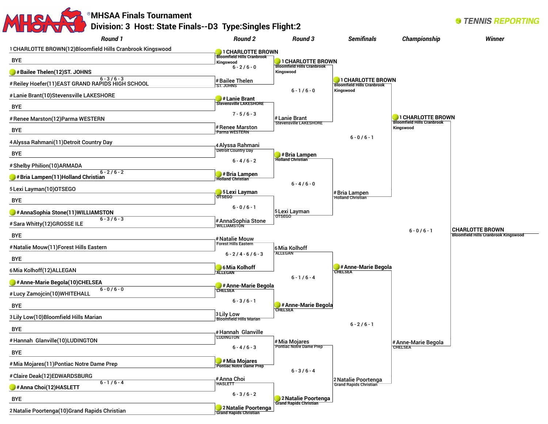

**Grand Rapids Christian** 

2Natalie Poortenga(10)Grand Rapids Christian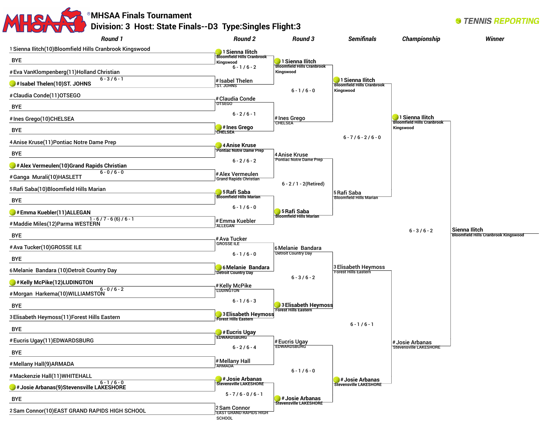| <b>Round 1</b>                                               | <b>Round 2</b>                                            | <b>Round 3</b>                                  | <b>Semifinals</b>                                          | Championship                                   | <b>Winner</b>                               |
|--------------------------------------------------------------|-----------------------------------------------------------|-------------------------------------------------|------------------------------------------------------------|------------------------------------------------|---------------------------------------------|
| 1 Sienna Ilitch(10)Bloomfield Hills Cranbrook Kingswood      |                                                           |                                                 |                                                            |                                                |                                             |
| <b>BYE</b>                                                   | 1 Sienna Ilitch<br><b>Bloomfield Hills Cranbrook</b>      | 1 Sienna Ilitch                                 |                                                            |                                                |                                             |
| # Eva VanKlompenberg(11)Holland Christian                    | Kingswood<br>$6 - 1/6 - 2$                                | <b>Bloomfield Hills Cranbrook</b><br>Kingswood  |                                                            |                                                |                                             |
| $6 - 3 / 6 - 1$<br>#Isabel Thelen(10)ST. JOHNS               | # Isabel Thelen                                           |                                                 | 1 Sienna Ilitch<br><b>Bloomfield Hills Cranbrook</b>       |                                                |                                             |
| #Claudia Conde(11)OTSEGO                                     | ST. JOHNS                                                 | $6 - 1/6 - 0$                                   | Kingswood                                                  |                                                |                                             |
| <b>BYE</b>                                                   | # Claudia Conde<br><b>OTSEGO</b>                          |                                                 |                                                            |                                                |                                             |
| # Ines Grego(10)CHELSEA                                      | $6 - 2/6 - 1$                                             | # Ines Grego                                    |                                                            | 1 Sienna Ilitch                                |                                             |
| <b>BYE</b>                                                   | # Ines Grego                                              | <b>CHELSEA</b>                                  |                                                            | <b>Bloomfield Hills Cranbrook</b><br>Kingswood |                                             |
|                                                              | <b>CHELSEA</b>                                            |                                                 | $6 - 7/6 - 2/6 - 0$                                        |                                                |                                             |
| 4 Anise Kruse(11) Pontiac Notre Dame Prep                    | 4 Anise Kruse<br><b>Pontiac Notre Dame Prep</b>           |                                                 |                                                            |                                                |                                             |
| <b>BYE</b>                                                   | $6 - 2/6 - 2$                                             | 4 Anise Kruse<br><b>Pontiac Notre Dame Prep</b> |                                                            |                                                |                                             |
| # Alex Vermeulen(10) Grand Rapids Christian<br>$6 - 0/6 - 0$ | # Alex Vermeulen                                          |                                                 |                                                            |                                                |                                             |
| #Ganga Murali(10)HASLETT                                     | <b>Grand Rapids Christian</b>                             | $6 - 2 / 1 - 2$ (Retired)                       |                                                            |                                                |                                             |
| 5 Rafi Saba(10) Bloomfield Hills Marian                      | 5 Rafi Saba<br><b>Bloomfield Hills Marian</b>             |                                                 | 5 Rafi Saba                                                |                                                |                                             |
| <b>BYE</b>                                                   | $6 - 1/6 - 0$                                             |                                                 | <b>Bloomfield Hills Marian</b>                             |                                                |                                             |
| #Emma Kuebler(11)ALLEGAN<br>$1 - 6/7 - 6(6)/6 - 1$           |                                                           | 5 Rafi Saba<br><b>Bloomfield Hills Marian</b>   |                                                            |                                                |                                             |
| # Maddie Miles (12) Parma WESTERN                            | #Emma Kuebler<br><b>ALLEGAN</b>                           |                                                 |                                                            | $6 - 3 / 6 - 2$                                | Sienna Ilitch                               |
| <b>BYE</b>                                                   | # Ava Tucker                                              |                                                 |                                                            |                                                | <b>Bloomfield Hills Cranbrook Kingswood</b> |
| #Ava Tucker(10)GROSSE ILE                                    | <b>GROSSETLE</b>                                          | 6 Melanie Bandara                               |                                                            |                                                |                                             |
| <b>BYE</b>                                                   | $6 - 1/6 - 0$                                             | <b>Detroit Country Day</b>                      |                                                            |                                                |                                             |
| 6 Melanie Bandara (10) Detroit Country Day                   | 6 Melanie Bandara<br><b>Detroit Country Day</b>           |                                                 | 3 Elisabeth Heymoss<br>Forest Hills Eastern                |                                                |                                             |
| $\blacktriangleright$ # Kelly McPike(12)LUDINGTON            | # Kelly McPike                                            | $6 - 3 / 6 - 2$                                 |                                                            |                                                |                                             |
| $6 - 0/6 - 2$<br>#Morgan Harkema(10)WILLIAMSTON              | <b>LUDINGTON</b>                                          |                                                 |                                                            |                                                |                                             |
| <b>BYE</b>                                                   | $6 - 1/6 - 3$                                             | 3 Elisabeth Heymoss                             |                                                            |                                                |                                             |
| 3 Elisabeth Heymoss(11) Forest Hills Eastern                 | 3 Elisabeth Heymoss<br><b>Forest Hills Eastern</b>        | <b>Forest Hills Eastern</b>                     |                                                            |                                                |                                             |
| <b>BYE</b>                                                   |                                                           |                                                 | $6 - 1/6 - 1$                                              |                                                |                                             |
| #Eucris Ugay(11)EDWARDSBURG                                  | <b>WE HE EUCRIS</b><br>EDWARDSBURG                        |                                                 |                                                            | # Josie Arbanas                                |                                             |
| <b>BYE</b>                                                   | $6 - 2 / 6 - 4$                                           | # Eucris Ugay<br>EDWARDSBURG                    |                                                            | Stevensville LAKESHORE                         |                                             |
| # Mellany Hall(9) ARMADA                                     | # Mellany Hall                                            |                                                 |                                                            |                                                |                                             |
| # Mackenzie Hall(11) WHITEHALL                               | <b>ARMADA</b>                                             | $6 - 1/6 - 0$                                   |                                                            |                                                |                                             |
| $6 - 1/6 - 0$<br># Josie Arbanas(9) Stevensville LAKESHORE   | <b>J</b> # Josie Arbanas<br><b>Stevensville LAKESHORE</b> |                                                 | $\bullet$ # Josie Arbanas<br><b>Stevensville LAKESHORE</b> |                                                |                                             |
|                                                              | $5 - 7/6 - 0/6 - 1$                                       | $\bigcup$ #Josie Arbanas                        |                                                            |                                                |                                             |
| <b>BYE</b>                                                   | 2 Sam Connor                                              | <b>Stevensville LAKESHORE</b>                   |                                                            |                                                |                                             |

SCHOOL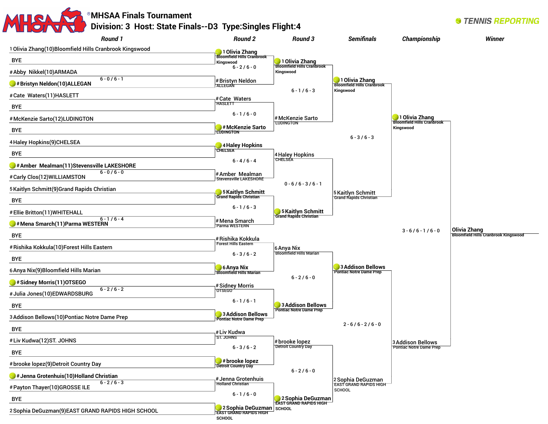| Division: 3 Host: State Finals--D3 Type: Singles Flight: 4<br><b>Round 1</b> | Round 2                                                           | Round 3                                             | <b>Semifinals</b>                                                   | Championship                                   | Winner                                      |
|------------------------------------------------------------------------------|-------------------------------------------------------------------|-----------------------------------------------------|---------------------------------------------------------------------|------------------------------------------------|---------------------------------------------|
| 1 Olivia Zhang(10)Bloomfield Hills Cranbrook Kingswood                       | 1 Olivia Zhang                                                    |                                                     |                                                                     |                                                |                                             |
| <b>BYE</b>                                                                   | <b>Bloomfield Hills Cranbrook</b><br>Kingswood                    | 1 Olivia Zhang<br>Bloomfield Hills Cranbrook        |                                                                     |                                                |                                             |
| #Abby Nikkel(10)ARMADA                                                       | $6 - 2/6 - 0$                                                     | Kingswood                                           |                                                                     |                                                |                                             |
| $6 - 0/6 - 1$<br>#Bristyn Neldon(10)ALLEGAN                                  | # Bristyn Neldon<br><b>ALLEGAN</b>                                |                                                     | 1 Olivia Zhang<br>Bloomfield Hills Cranbrook                        |                                                |                                             |
| #Cate Waters(11)HASLETT                                                      |                                                                   | $6 - 1/6 - 3$                                       | Kingswood                                                           |                                                |                                             |
| <b>BYE</b>                                                                   | #Cate Waters<br><b>HASLETT</b>                                    |                                                     |                                                                     |                                                |                                             |
| #McKenzie Sarto(12)LUDINGTON                                                 | $6 - 1/6 - 0$                                                     | #McKenzie Sarto                                     |                                                                     | 1 Olivia Zhang                                 |                                             |
| <b>BYE</b>                                                                   | #McKenzie Sarto<br><b>LUDINGTON</b>                               | <b>LUDINGTON</b>                                    |                                                                     | <b>Bloomfield Hills Cranbrook</b><br>Kingswood |                                             |
| 4 Haley Hopkins(9)CHELSEA                                                    |                                                                   |                                                     | $6 - 3 / 6 - 3$                                                     |                                                |                                             |
| <b>BYE</b>                                                                   | 4 Haley Hopkins<br><b>CHELSEA</b>                                 |                                                     |                                                                     |                                                |                                             |
| #Amber Mealman(11)Stevensville LAKESHORE                                     | $6 - 4/6 - 4$                                                     | 4 Haley Hopkins<br>CHELSEA                          |                                                                     |                                                |                                             |
| $6 - 0/6 - 0$<br>#Carly Clos(12)WILLIAMSTON                                  | #Amber Mealman                                                    |                                                     |                                                                     |                                                |                                             |
|                                                                              | <b>Stevensville LAKESHORE</b>                                     | $0 - 6/6 - 3/6 - 1$                                 |                                                                     |                                                |                                             |
| 5 Kaitlyn Schmitt(9) Grand Rapids Christian<br><b>BYE</b>                    | 5 Kaitlyn Schmitt<br><b>Grand Rapids Christian</b>                |                                                     | 5 Kaitlyn Schmitt<br><b>Grand Rapids Christian</b>                  |                                                |                                             |
|                                                                              | $6 - 1/6 - 3$                                                     |                                                     |                                                                     |                                                |                                             |
| #Ellie Britton(11)WHITEHALL<br>$6 - 1/6 - 4$                                 | # Mena Smarch                                                     | 5 Kaitlyn Schmitt                                   |                                                                     |                                                |                                             |
| #Mena Smarch(11)Parma WESTERN                                                | Parma WESTERN                                                     |                                                     |                                                                     | $3 - 6/6 - 1/6 - 0$                            | Olivia Zhang                                |
| <b>BYE</b>                                                                   | # Rishika Kokkula<br><b>Forest Hills Eastern</b>                  |                                                     |                                                                     |                                                | <b>Bloomfield Hills Cranbrook Kingswood</b> |
| # Rishika Kokkula(10)Forest Hills Eastern                                    | $6 - 3 / 6 - 2$                                                   | 6 Anya Nix<br><b>Bloomfield Hills Marian</b>        |                                                                     |                                                |                                             |
| <b>BYE</b>                                                                   |                                                                   |                                                     | 3 Addison Bellows                                                   |                                                |                                             |
| 6 Anya Nix(9) Bloomfield Hills Marian                                        | 6 Anya Nix<br><b>Bloomfield Hills Marian</b>                      | $6 - 2 / 6 - 0$                                     | <b>Pontiac Notre Dame Prep</b>                                      |                                                |                                             |
| #Sidney Morris(11)OTSEGO<br>$6 - 2 / 6 - 2$                                  | # Sidney Morris                                                   |                                                     |                                                                     |                                                |                                             |
| # Julia Jones(10)EDWARDSBURG                                                 | <b>OTSEGO</b><br>$6 - 1/6 - 1$                                    |                                                     |                                                                     |                                                |                                             |
| <b>BYE</b>                                                                   |                                                                   | 3 Addison Bellows<br><b>Pontiac Notre Dame Prep</b> |                                                                     |                                                |                                             |
| 3 Addison Bellows (10) Pontiac Notre Dame Prep                               | 3 Addison Bellows<br>ontiac Notre Dame Prep                       |                                                     |                                                                     |                                                |                                             |
| <b>BYE</b>                                                                   | #Liv Kudwa                                                        |                                                     | $2 - 6 / 6 - 2 / 6 - 0$                                             |                                                |                                             |
| #Liv Kudwa(12)ST. JOHNS                                                      | ST. JOHNS                                                         | # brooke lopez<br>Detroit Country Day               |                                                                     | 3 Addison Bellows                              |                                             |
| <b>BYE</b>                                                                   | $6 - 3 / 6 - 2$                                                   |                                                     |                                                                     | <b>Pontiac Notre Dame Prep</b>                 |                                             |
| # brooke lopez(9)Detroit Country Day                                         | $\blacktriangleright$ #brooke lopez<br><b>Detroit Country Day</b> |                                                     |                                                                     |                                                |                                             |
| $\bullet$ # Jenna Grotenhuis(10)Holland Christian                            | # Jenna Grotenhuis                                                | $6 - 2 / 6 - 0$                                     |                                                                     |                                                |                                             |
| $6 - 2/6 - 3$<br>#Payton Thayer(10)GROSSE ILE                                | <b>Holland Christian</b>                                          |                                                     | 2 Sophia DeGuzman<br><b>EAST GRAND RAPIDS HIGH</b><br><b>SCHOOL</b> |                                                |                                             |
| <b>BYE</b>                                                                   | $6 - 1/6 - 0$                                                     | 2 Sophia DeGuzman                                   |                                                                     |                                                |                                             |
| 2 Sophia DeGuzman(9)EAST GRAND RAPIDS HIGH SCHOOL                            | 2 Sophia DeGuzman SCHOOL                                          |                                                     |                                                                     |                                                |                                             |

**SCHOOL**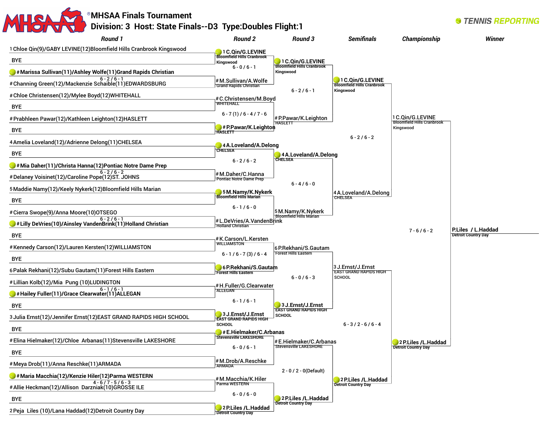## **MHSAA Finals Tournament Division: 3 Host: State Finals--D3 Type:Doubles Flight:1**

**STENNIS REPORTING** 

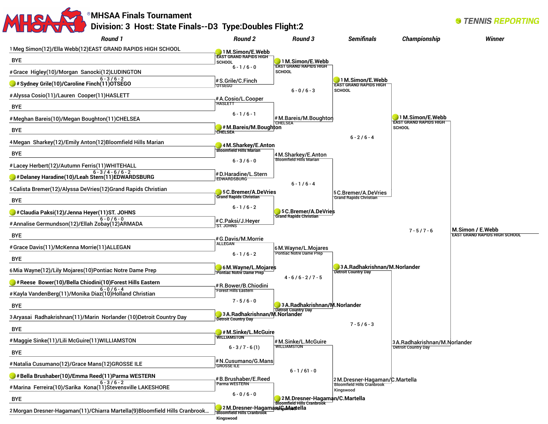## **MHSAA Finals Tournament Division: 3 Host: State Finals--D3 Type:Doubles Flight:2**

*Round 1* 1Meg Simon(12)/Ella Webb(12)EAST GRAND RAPIDS HIGH SCHOOL BYE #Grace Higley(10)/Morgan Sanocki(12)LUDINGTON 6 - 3 / 6 - 2 **#Sydney Grile(10)/Caroline Finch(11)OTSEGO**  #Alyssa Cosio(11)/Lauren Cooper(11)HASLETT BYE #Meghan Bareis(10)/Megan Boughton(11)CHELSEA BYE 4Megan Sharkey(12)/Emily Anton(12)Bloomfield Hills Marian BYE #Lacey Herbert(12)/Autumn Ferris(11)WHITEHALL 6 - 3 / 4 - 6 / 6 - 2 **#Delaney Haradine(10)/Leah Stern(11)EDWARDSBURG**  5Calista Bremer(12)/Alyssa DeVries(12)Grand Rapids Christian BYE **#Claudia Paksi(12)/Jenna Heyer(11)ST. JOHNS**   $6 - 0 / 6 - 0$ #Annalise Germundson(12)/Ellah Zobay(12)ARMADA BYE #Grace Davis(11)/McKenna Morrie(11)ALLEGAN BYE 6Mia Wayne(12)/Lily Mojares(10)Pontiac Notre Dame Prep **#Reese Bower(10)/Bella Chiodini(10)Forest Hills Eastern**  $6 - 0 / 6 - 4$ #Kayla VandenBerg(11)/Monika Diaz(10)Holland Christian BYE 3Aryasai Radhakrishnan(11)/Marin Norlander (10)Detroit Country Day BYE #Maggie Sinke(11)/Lili McGuire(11)WILLIAMSTON BYE #Natalia Cusumano(12)/Grace Mans(12)GROSSE ILE **#Bella Brushaber(10)/Emma Reed(11)Parma WESTERN**   $6 - 3 / 6 - 2$ #Marina Ferreira(10)/Sarika Kona(11)Stevensville LAKESHORE BYE 2Morgan Dresner-Hagaman(11)/Chiarra Martella(9)Bloomfield Hills Cranbrook… *Round 2* **1M.Simon/E.Webb EAST GRAND RAPIDS HIGH SCHOOL**  $6 - 1 / 6 - 0$ #S.Grile/C.Finch OTSEGO #A.Cosio/L.Cooper **HASLETT**  $6 - 1 / 6 - 1$ **#M.Bareis/M.Boughton CHELSEA 4M.Sharkey/E.Anton Bloomfield Hills Marian**  $6 - 3 / 6 - 0$ #D.Haradine/L.Stern EDWARDSBURG **5C.Bremer/A.DeVries Grand Rapids Christian**   $6 - 1 / 6 - 2$ #C.Paksi/J.Heyer ST. JOHNS #G.Davis/M.Morrie **ALLEGAN**  $6 - 1 / 6 - 2$ **6M.Wayne/L.Mojares Pontiac Notre Dame Prep** #R.Bower/B.Chiodini **Forest Hills Eastern**  $7 - 5 / 6 - 0$ **3A.Radhakrishnan/M.Norlander Detroit Country Day #M.Sinke/L.McGuire WILLIAMSTON**   $6 - 3 / 7 - 6 (1)$ #N.Cusumano/G.Mans GROSSE ILE #B.Brushaber/E.Reed Parma WESTERN  $6 - 0 / 6 - 0$ 2 M.Dresner-Hagama**n/G.Mar**tella **Bloomfield Hills Cranbrook Kingswood** *Round 3* **1M.Simon/E.Webb EAST GRAND RAPIDS HIGH SCHOOL**  $6 - 0 / 6 - 3$ #M.Bareis/M.Boughton CHELSEA 4M.Sharkey/E.Anton Bloomfield Hills Marian  $6 - 1 / 6 - 4$ **5C.Bremer/A.DeVries Grand Rapids Christian**  6M.Wayne/L.Mojares Pontiac Notre Dame Prep  $4 - 6 / 6 - 2 / 7 - 5$ **3A.Radhakrishnan/M.Norlander Detroit Country Day** #M.Sinke/L.McGuire WILLIAMSTON  $6 - 1 / 61 - 0$ **2M.Dresner-Hagaman/C.Martella Bloomfield Hills Cranbrook Semifinals 1M.Simon/E.Webb EAST GRAND RAPIDS HIGH SCHOOL**  $6 - 2 / 6 - 4$ 5C.Bremer/A.DeVries Grand Rapids Christian **3A.Radhakrishnan/M.Norlander Detroit Country Day**  $7 - 5 / 6 - 3$ 2M.Dresner-Hagaman/C.Martella Bloomfield Hills Cranbrook Kingswood Championship **1M.Simon/E.Webb EAST GRAND RAPIDS HIGH SCHOOL**  $7 - 5 / 7 - 6$ 3A.Radhakrishnan/M.Norlander Detroit Country Day **Winner M.Simon / E.Webb EAST GRAND RAPIDS HIGH SCHOOL**

**STENNIS REPORTING**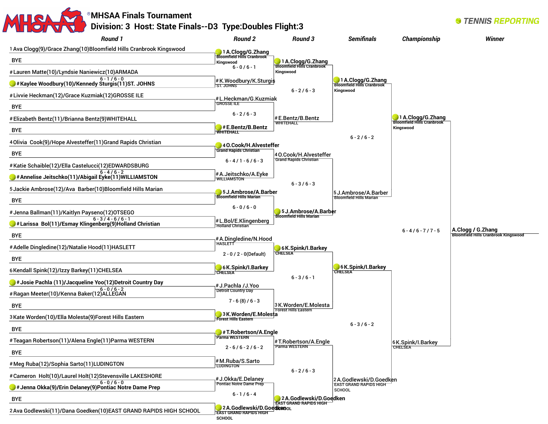

**SCHOOL**